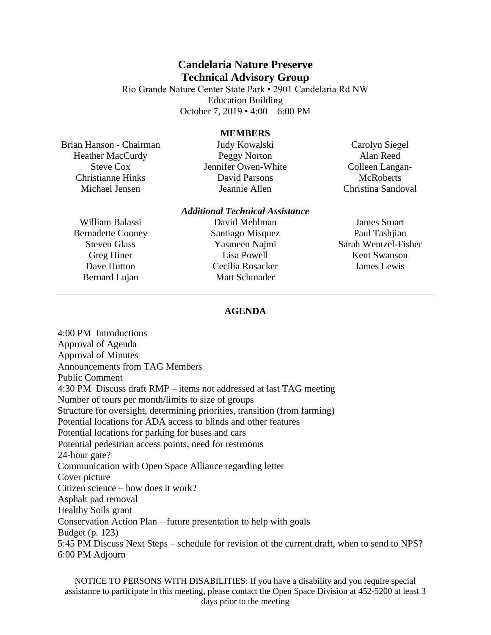## **Candelaria Nature Preserve Technical Advisory Group**

Rio Grande Nature Center State Park • 2901 Candelaria Rd NW Education Building October 7, 2019 • 4:00 – 6:00 PM

## **MEMBERS**

Brian Hanson - Chairman Heather MacCurdy Steve Cox Christianne Hinks Michael Jensen

Judy Kowalski Peggy Norton Jennifer Owen-White David Parsons Jeannie Allen

Carolyn Siegel Alan Reed Colleen Langan-**McRoberts** Christina Sandoval

William Balassi Bernadette Cooney Steven Glass Greg Hiner Dave Hutton Bernard Lujan

## *Additional Technical Assistance*

David Mehlman Santiago Misquez Yasmeen Najmi Lisa Powell Cecilia Rosacker Matt Schmader

James Stuart Paul Tashiian Sarah Wentzel-Fisher Kent Swanson James Lewis

## **AGENDA**

4:00 PM Introductions Approval of Agenda Approval of Minutes Announcements from TAG Members Public Comment 4:30 PM Discuss draft RMP – items not addressed at last TAG meeting Number of tours per month/limits to size of groups Structure for oversight, determining priorities, transition (from farming) Potential locations for ADA access to blinds and other features Potential locations for parking for buses and cars Potential pedestrian access points, need for restrooms 24-hour gate? Communication with Open Space Alliance regarding letter Cover picture Citizen science – how does it work? Asphalt pad removal Healthy Soils grant Conservation Action Plan – future presentation to help with goals Budget (p. 123) 5:45 PM Discuss Next Steps – schedule for revision of the current draft, when to send to NPS? 6:00 PM Adjourn

NOTICE TO PERSONS WITH DISABILITIES: If you have a disability and you require special assistance to participate in this meeting, please contact the Open Space Division at 452-5200 at least 3 days prior to the meeting